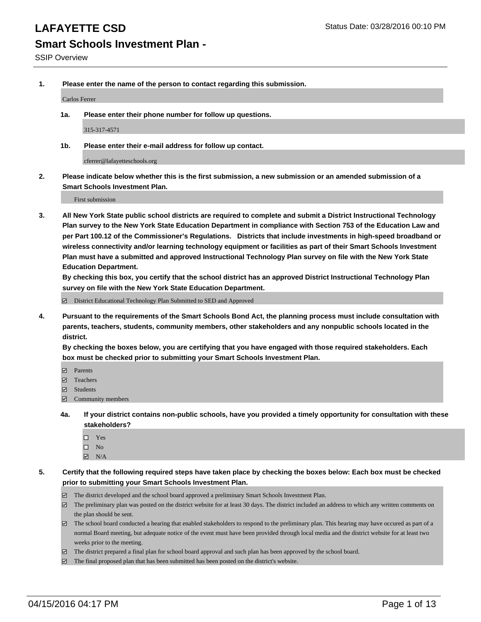**1. Please enter the name of the person to contact regarding this submission.**

Carlos Ferrer

**1a. Please enter their phone number for follow up questions.**

315-317-4571

**1b. Please enter their e-mail address for follow up contact.**

cferrer@lafayetteschools.org

**2. Please indicate below whether this is the first submission, a new submission or an amended submission of a Smart Schools Investment Plan.**

First submission

**3. All New York State public school districts are required to complete and submit a District Instructional Technology Plan survey to the New York State Education Department in compliance with Section 753 of the Education Law and per Part 100.12 of the Commissioner's Regulations. Districts that include investments in high-speed broadband or wireless connectivity and/or learning technology equipment or facilities as part of their Smart Schools Investment Plan must have a submitted and approved Instructional Technology Plan survey on file with the New York State Education Department.** 

**By checking this box, you certify that the school district has an approved District Instructional Technology Plan survey on file with the New York State Education Department.**

■ District Educational Technology Plan Submitted to SED and Approved

**4. Pursuant to the requirements of the Smart Schools Bond Act, the planning process must include consultation with parents, teachers, students, community members, other stakeholders and any nonpublic schools located in the district.** 

**By checking the boxes below, you are certifying that you have engaged with those required stakeholders. Each box must be checked prior to submitting your Smart Schools Investment Plan.**

- **Parents**
- □ Teachers
- Students
- $\boxdot$  Community members
- **4a. If your district contains non-public schools, have you provided a timely opportunity for consultation with these stakeholders?**
	- □ Yes
	- $\square$  No
	- $\boxtimes$  N/A
- **5. Certify that the following required steps have taken place by checking the boxes below: Each box must be checked prior to submitting your Smart Schools Investment Plan.**
	- The district developed and the school board approved a preliminary Smart Schools Investment Plan.
	- The preliminary plan was posted on the district website for at least 30 days. The district included an address to which any written comments on the plan should be sent.
	- $\Box$  The school board conducted a hearing that enabled stakeholders to respond to the preliminary plan. This hearing may have occured as part of a normal Board meeting, but adequate notice of the event must have been provided through local media and the district website for at least two weeks prior to the meeting.
	- The district prepared a final plan for school board approval and such plan has been approved by the school board.
	- The final proposed plan that has been submitted has been posted on the district's website.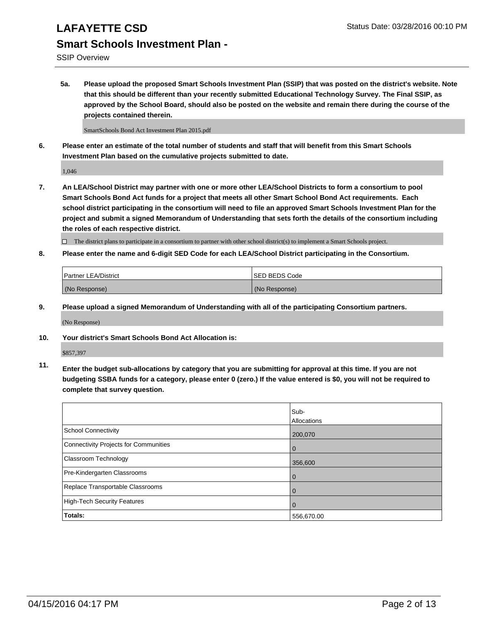SSIP Overview

**5a. Please upload the proposed Smart Schools Investment Plan (SSIP) that was posted on the district's website. Note that this should be different than your recently submitted Educational Technology Survey. The Final SSIP, as approved by the School Board, should also be posted on the website and remain there during the course of the projects contained therein.**

SmartSchools Bond Act Investment Plan 2015.pdf

**6. Please enter an estimate of the total number of students and staff that will benefit from this Smart Schools Investment Plan based on the cumulative projects submitted to date.**

1,046

**7. An LEA/School District may partner with one or more other LEA/School Districts to form a consortium to pool Smart Schools Bond Act funds for a project that meets all other Smart School Bond Act requirements. Each school district participating in the consortium will need to file an approved Smart Schools Investment Plan for the project and submit a signed Memorandum of Understanding that sets forth the details of the consortium including the roles of each respective district.**

 $\Box$  The district plans to participate in a consortium to partner with other school district(s) to implement a Smart Schools project.

**8. Please enter the name and 6-digit SED Code for each LEA/School District participating in the Consortium.**

| <b>Partner LEA/District</b> | ISED BEDS Code |
|-----------------------------|----------------|
| (No Response)               | (No Response)  |

**9. Please upload a signed Memorandum of Understanding with all of the participating Consortium partners.**

(No Response)

**10. Your district's Smart Schools Bond Act Allocation is:**

\$857,397

**11. Enter the budget sub-allocations by category that you are submitting for approval at this time. If you are not budgeting SSBA funds for a category, please enter 0 (zero.) If the value entered is \$0, you will not be required to complete that survey question.**

|                                       | Sub-<br>Allocations |
|---------------------------------------|---------------------|
| <b>School Connectivity</b>            | 200,070             |
| Connectivity Projects for Communities | 0                   |
| <b>Classroom Technology</b>           | 356,600             |
| Pre-Kindergarten Classrooms           | $\Omega$            |
| Replace Transportable Classrooms      | 0                   |
| High-Tech Security Features           | $\Omega$            |
| Totals:                               | 556,670.00          |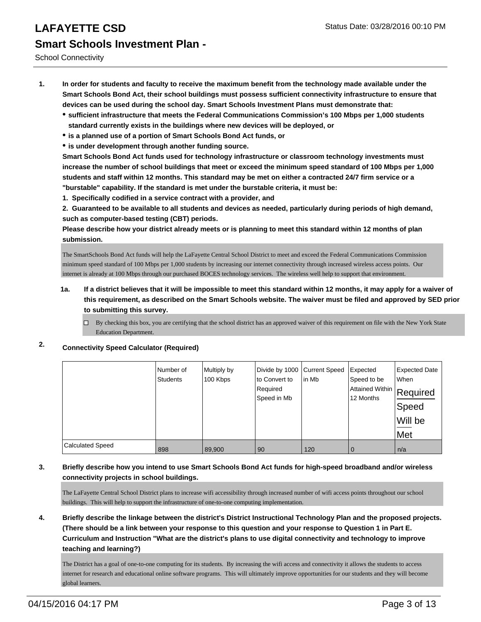School Connectivity

- **1. In order for students and faculty to receive the maximum benefit from the technology made available under the Smart Schools Bond Act, their school buildings must possess sufficient connectivity infrastructure to ensure that devices can be used during the school day. Smart Schools Investment Plans must demonstrate that:**
	- **sufficient infrastructure that meets the Federal Communications Commission's 100 Mbps per 1,000 students standard currently exists in the buildings where new devices will be deployed, or**
	- **is a planned use of a portion of Smart Schools Bond Act funds, or**
	- **is under development through another funding source.**

**Smart Schools Bond Act funds used for technology infrastructure or classroom technology investments must increase the number of school buildings that meet or exceed the minimum speed standard of 100 Mbps per 1,000 students and staff within 12 months. This standard may be met on either a contracted 24/7 firm service or a "burstable" capability. If the standard is met under the burstable criteria, it must be:**

**1. Specifically codified in a service contract with a provider, and**

**2. Guaranteed to be available to all students and devices as needed, particularly during periods of high demand, such as computer-based testing (CBT) periods.**

**Please describe how your district already meets or is planning to meet this standard within 12 months of plan submission.**

The SmartSchools Bond Act funds will help the LaFayette Central School District to meet and exceed the Federal Communications Commission minimum speed standard of 100 Mbps per 1,000 students by increasing our internet connectivity through increased wireless access points. Our internet is already at 100 Mbps through our purchased BOCES technology services. The wireless well help to support that environment.

- **1a. If a district believes that it will be impossible to meet this standard within 12 months, it may apply for a waiver of this requirement, as described on the Smart Schools website. The waiver must be filed and approved by SED prior to submitting this survey.**
	- By checking this box, you are certifying that the school district has an approved waiver of this requirement on file with the New York State Education Department.

### **2. Connectivity Speed Calculator (Required)**

|                         | Number of<br><b>Students</b> | Multiply by<br>100 Kbps | Divide by 1000 Current Speed<br>to Convert to<br>Required<br>Speed in Mb | lin Mb | Expected<br>Speed to be<br> Attained Within   Required<br>12 Months | <b>Expected Date</b><br><b>When</b><br>Speed<br>Will be<br>Met |
|-------------------------|------------------------------|-------------------------|--------------------------------------------------------------------------|--------|---------------------------------------------------------------------|----------------------------------------------------------------|
| <b>Calculated Speed</b> | 898                          | 89,900                  | 90                                                                       | 120    | 0                                                                   | n/a                                                            |

#### **3. Briefly describe how you intend to use Smart Schools Bond Act funds for high-speed broadband and/or wireless connectivity projects in school buildings.**

The LaFayette Central School District plans to increase wifi accessibility through increased number of wifi access points throughout our school buildings. This will help to support the infrastructure of one-to-one computing implementation.

**4. Briefly describe the linkage between the district's District Instructional Technology Plan and the proposed projects. (There should be a link between your response to this question and your response to Question 1 in Part E. Curriculum and Instruction "What are the district's plans to use digital connectivity and technology to improve teaching and learning?)**

The District has a goal of one-to-one computing for its students. By increasing the wifi access and connectivity it allows the students to access internet for research and educational online software programs. This will ultimately improve opportunities for our students and they will become global learners.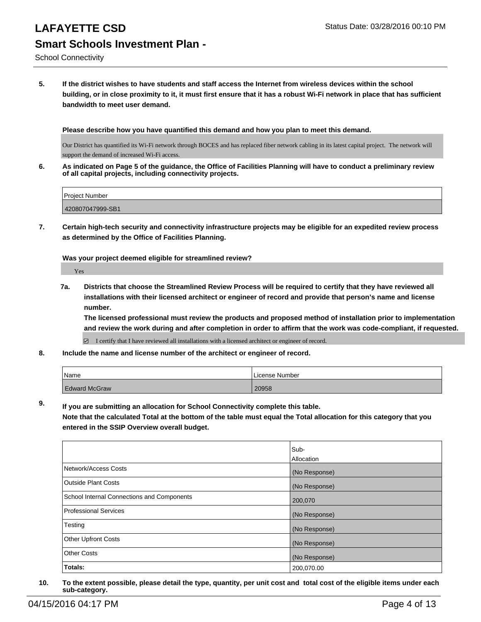School Connectivity

**5. If the district wishes to have students and staff access the Internet from wireless devices within the school building, or in close proximity to it, it must first ensure that it has a robust Wi-Fi network in place that has sufficient bandwidth to meet user demand.**

**Please describe how you have quantified this demand and how you plan to meet this demand.**

Our District has quantified its Wi-Fi network through BOCES and has replaced fiber network cabling in its latest capital project. The network will support the demand of increased Wi-Fi access.

**6. As indicated on Page 5 of the guidance, the Office of Facilities Planning will have to conduct a preliminary review of all capital projects, including connectivity projects.**

| <b>Project Number</b> |  |
|-----------------------|--|
| 420807047999-SB1      |  |

**7. Certain high-tech security and connectivity infrastructure projects may be eligible for an expedited review process as determined by the Office of Facilities Planning.**

**Was your project deemed eligible for streamlined review?**

Yes

**7a. Districts that choose the Streamlined Review Process will be required to certify that they have reviewed all installations with their licensed architect or engineer of record and provide that person's name and license number.**

**The licensed professional must review the products and proposed method of installation prior to implementation and review the work during and after completion in order to affirm that the work was code-compliant, if requested.**

■ I certify that I have reviewed all installations with a licensed architect or engineer of record.

**8. Include the name and license number of the architect or engineer of record.**

| Name                 | License Number |
|----------------------|----------------|
| <b>Edward McGraw</b> | 20958          |

**9. If you are submitting an allocation for School Connectivity complete this table. Note that the calculated Total at the bottom of the table must equal the Total allocation for this category that you entered in the SSIP Overview overall budget.** 

|                                            | Sub-<br>Allocation |
|--------------------------------------------|--------------------|
| Network/Access Costs                       | (No Response)      |
| <b>Outside Plant Costs</b>                 | (No Response)      |
| School Internal Connections and Components | 200,070            |
| Professional Services                      | (No Response)      |
| Testing                                    | (No Response)      |
| Other Upfront Costs                        | (No Response)      |
| <b>Other Costs</b>                         | (No Response)      |
| Totals:                                    | 200,070.00         |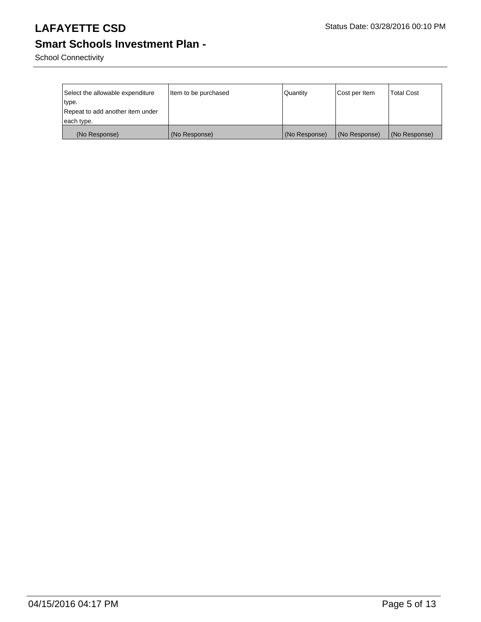School Connectivity

| Select the allowable expenditure<br> type.<br>Repeat to add another item under | Item to be purchased | Quantity      | Cost per Item | <b>Total Cost</b> |
|--------------------------------------------------------------------------------|----------------------|---------------|---------------|-------------------|
| each type.                                                                     |                      |               |               |                   |
| (No Response)                                                                  | (No Response)        | (No Response) | (No Response) | (No Response)     |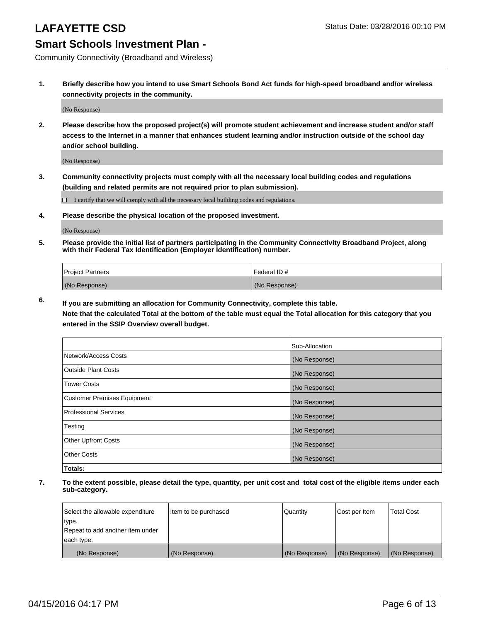Community Connectivity (Broadband and Wireless)

**1. Briefly describe how you intend to use Smart Schools Bond Act funds for high-speed broadband and/or wireless connectivity projects in the community.**

(No Response)

**2. Please describe how the proposed project(s) will promote student achievement and increase student and/or staff access to the Internet in a manner that enhances student learning and/or instruction outside of the school day and/or school building.**

(No Response)

**3. Community connectivity projects must comply with all the necessary local building codes and regulations (building and related permits are not required prior to plan submission).**

 $\Box$  I certify that we will comply with all the necessary local building codes and regulations.

**4. Please describe the physical location of the proposed investment.**

(No Response)

**5. Please provide the initial list of partners participating in the Community Connectivity Broadband Project, along with their Federal Tax Identification (Employer Identification) number.**

| <b>Project Partners</b> | I Federal ID # |
|-------------------------|----------------|
| (No Response)           | (No Response)  |

**6. If you are submitting an allocation for Community Connectivity, complete this table.**

**Note that the calculated Total at the bottom of the table must equal the Total allocation for this category that you entered in the SSIP Overview overall budget.**

|                                    | Sub-Allocation |
|------------------------------------|----------------|
| Network/Access Costs               | (No Response)  |
| Outside Plant Costs                | (No Response)  |
| <b>Tower Costs</b>                 | (No Response)  |
| <b>Customer Premises Equipment</b> | (No Response)  |
| Professional Services              | (No Response)  |
| Testing                            | (No Response)  |
| <b>Other Upfront Costs</b>         | (No Response)  |
| Other Costs                        | (No Response)  |
| Totals:                            |                |

| Select the allowable expenditure | Item to be purchased | Quantity      | Cost per Item | <b>Total Cost</b> |
|----------------------------------|----------------------|---------------|---------------|-------------------|
| type.                            |                      |               |               |                   |
| Repeat to add another item under |                      |               |               |                   |
| each type.                       |                      |               |               |                   |
| (No Response)                    | (No Response)        | (No Response) | (No Response) | (No Response)     |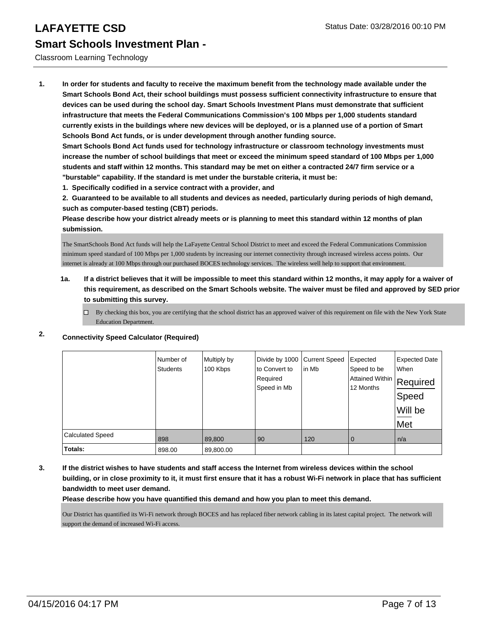#### Classroom Learning Technology

**1. In order for students and faculty to receive the maximum benefit from the technology made available under the Smart Schools Bond Act, their school buildings must possess sufficient connectivity infrastructure to ensure that devices can be used during the school day. Smart Schools Investment Plans must demonstrate that sufficient infrastructure that meets the Federal Communications Commission's 100 Mbps per 1,000 students standard currently exists in the buildings where new devices will be deployed, or is a planned use of a portion of Smart Schools Bond Act funds, or is under development through another funding source.**

**Smart Schools Bond Act funds used for technology infrastructure or classroom technology investments must increase the number of school buildings that meet or exceed the minimum speed standard of 100 Mbps per 1,000 students and staff within 12 months. This standard may be met on either a contracted 24/7 firm service or a "burstable" capability. If the standard is met under the burstable criteria, it must be:**

**1. Specifically codified in a service contract with a provider, and**

**2. Guaranteed to be available to all students and devices as needed, particularly during periods of high demand, such as computer-based testing (CBT) periods.**

**Please describe how your district already meets or is planning to meet this standard within 12 months of plan submission.**

The SmartSchools Bond Act funds will help the LaFayette Central School District to meet and exceed the Federal Communications Commission minimum speed standard of 100 Mbps per 1,000 students by increasing our internet connectivity through increased wireless access points. Our internet is already at 100 Mbps through our purchased BOCES technology services. The wireless well help to support that environment.

#### **1a. If a district believes that it will be impossible to meet this standard within 12 months, it may apply for a waiver of this requirement, as described on the Smart Schools website. The waiver must be filed and approved by SED prior to submitting this survey.**

 $\Box$  By checking this box, you are certifying that the school district has an approved waiver of this requirement on file with the New York State Education Department.

### **2. Connectivity Speed Calculator (Required)**

|                         | Number of<br><b>Students</b> | Multiply by<br>100 Kbps | Divide by 1000 Current Speed<br>to Convert to<br>Required<br>Speed in Mb | lin Mb | Expected<br>Speed to be<br>Attained Within<br>12 Months | <b>Expected Date</b><br>When<br>Required<br>Speed<br>Will be<br>Met |
|-------------------------|------------------------------|-------------------------|--------------------------------------------------------------------------|--------|---------------------------------------------------------|---------------------------------------------------------------------|
| <b>Calculated Speed</b> | 898                          | 89,800                  | 90                                                                       | 120    | 0                                                       | n/a                                                                 |
| Totals:                 | 898.00                       | 89,800.00               |                                                                          |        |                                                         |                                                                     |

**3. If the district wishes to have students and staff access the Internet from wireless devices within the school building, or in close proximity to it, it must first ensure that it has a robust Wi-Fi network in place that has sufficient bandwidth to meet user demand.**

**Please describe how you have quantified this demand and how you plan to meet this demand.**

Our District has quantified its Wi-Fi network through BOCES and has replaced fiber network cabling in its latest capital project. The network will support the demand of increased Wi-Fi access.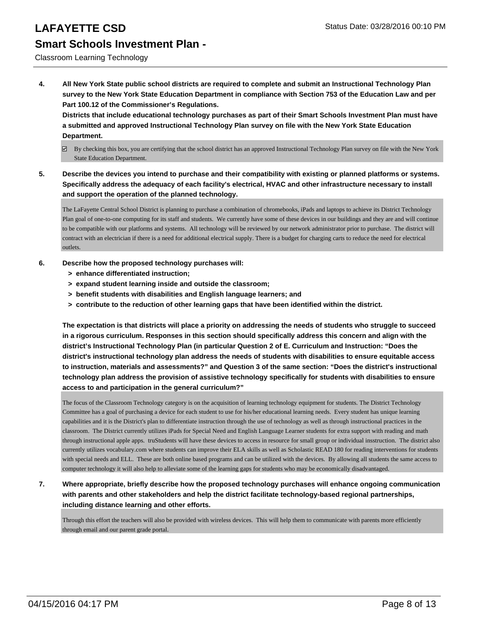#### Classroom Learning Technology

**4. All New York State public school districts are required to complete and submit an Instructional Technology Plan survey to the New York State Education Department in compliance with Section 753 of the Education Law and per Part 100.12 of the Commissioner's Regulations.**

**Districts that include educational technology purchases as part of their Smart Schools Investment Plan must have a submitted and approved Instructional Technology Plan survey on file with the New York State Education Department.**

- $\boxtimes$  By checking this box, you are certifying that the school district has an approved Instructional Technology Plan survey on file with the New York State Education Department.
- **5. Describe the devices you intend to purchase and their compatibility with existing or planned platforms or systems. Specifically address the adequacy of each facility's electrical, HVAC and other infrastructure necessary to install and support the operation of the planned technology.**

The LaFayette Central School District is planning to purchase a combination of chromebooks, iPads and laptops to achieve its District Technology Plan goal of one-to-one computing for its staff and students. We currently have some of these devices in our buildings and they are and will continue to be compatible with our platforms and systems. All technology will be reviewed by our network administrator prior to purchase. The district will contract with an electrician if there is a need for additional electrical supply. There is a budget for charging carts to reduce the need for electrical outlets.

- **6. Describe how the proposed technology purchases will:**
	- **> enhance differentiated instruction;**
	- **> expand student learning inside and outside the classroom;**
	- **> benefit students with disabilities and English language learners; and**
	- **> contribute to the reduction of other learning gaps that have been identified within the district.**

**The expectation is that districts will place a priority on addressing the needs of students who struggle to succeed in a rigorous curriculum. Responses in this section should specifically address this concern and align with the district's Instructional Technology Plan (in particular Question 2 of E. Curriculum and Instruction: "Does the district's instructional technology plan address the needs of students with disabilities to ensure equitable access to instruction, materials and assessments?" and Question 3 of the same section: "Does the district's instructional technology plan address the provision of assistive technology specifically for students with disabilities to ensure access to and participation in the general curriculum?"**

The focus of the Classroom Technology category is on the acquisition of learning technology equipment for students. The District Technology Committee has a goal of purchasing a device for each student to use for his/her educational learning needs. Every student has unique learning capabilities and it is the District's plan to differentiate instruction through the use of technology as well as through instructional practices in the classroom. The District currently utilizes iPads for Special Need and English Language Learner students for extra support with reading and math through instructional apple apps. truStudents will have these devices to access in resource for small group or individual insstruction. The district also currently utilizes vocabulary.com where students can improve their ELA skills as well as Scholastic READ 180 for reading interventions for students with special needs and ELL. These are both online based programs and can be utilized with the devices. By allowing all students the same access to computer technology it will also help to alleviate some of the learning gaps for students who may be economically disadvantaged.

**7. Where appropriate, briefly describe how the proposed technology purchases will enhance ongoing communication with parents and other stakeholders and help the district facilitate technology-based regional partnerships, including distance learning and other efforts.**

Through this effort the teachers will also be provided with wireless devices. This will help them to communicate with parents more efficiently through email and our parent grade portal.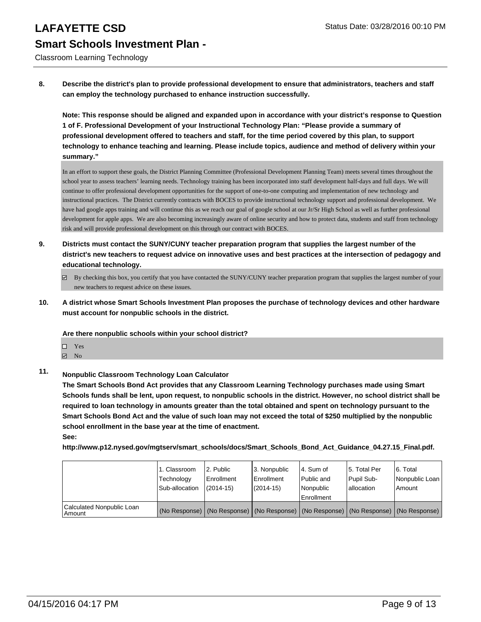Classroom Learning Technology

**8. Describe the district's plan to provide professional development to ensure that administrators, teachers and staff can employ the technology purchased to enhance instruction successfully.**

**Note: This response should be aligned and expanded upon in accordance with your district's response to Question 1 of F. Professional Development of your Instructional Technology Plan: "Please provide a summary of professional development offered to teachers and staff, for the time period covered by this plan, to support technology to enhance teaching and learning. Please include topics, audience and method of delivery within your summary."**

In an effort to support these goals, the District Planning Committee (Professional Development Planning Team) meets several times throughout the school year to assess teachers' learning needs. Technology training has been incorporated into staff development half-days and full days. We will continue to offer professional development opportunities for the support of one-to-one computing and implementation of new technology and instructional practices. The District currently contracts with BOCES to provide instructional technology support and professional development. We have had google apps training and will continue this as we reach our goal of google school at our Jr/Sr High School as well as further professional development for apple apps. We are also becoming increasingly aware of online security and how to protect data, students and staff from technology risk and will provide professional development on this through our contract with BOCES.

- **9. Districts must contact the SUNY/CUNY teacher preparation program that supplies the largest number of the district's new teachers to request advice on innovative uses and best practices at the intersection of pedagogy and educational technology.**
	- $\boxtimes$  By checking this box, you certify that you have contacted the SUNY/CUNY teacher preparation program that supplies the largest number of your new teachers to request advice on these issues.
- **10. A district whose Smart Schools Investment Plan proposes the purchase of technology devices and other hardware must account for nonpublic schools in the district.**

**Are there nonpublic schools within your school district?**

- $\Box$  Yes
- $\boxtimes$  No
- **11. Nonpublic Classroom Technology Loan Calculator**

**The Smart Schools Bond Act provides that any Classroom Learning Technology purchases made using Smart Schools funds shall be lent, upon request, to nonpublic schools in the district. However, no school district shall be required to loan technology in amounts greater than the total obtained and spent on technology pursuant to the Smart Schools Bond Act and the value of such loan may not exceed the total of \$250 multiplied by the nonpublic school enrollment in the base year at the time of enactment.**

**See:**

**http://www.p12.nysed.gov/mgtserv/smart\_schools/docs/Smart\_Schools\_Bond\_Act\_Guidance\_04.27.15\_Final.pdf.**

|                                       | 1. Classroom<br>Technology<br>Sub-allocation | 2. Public<br>Enrollment<br>$(2014-15)$ | 3. Nonpublic<br>l Enrollment<br>(2014-15) | 4. Sum of<br>Public and<br>Nonpublic<br>l Enrollment | 5. Total Per<br>Pupil Sub-<br>lallocation                                                     | 6. Total<br>l Nonpublic Loan l<br>Amount |
|---------------------------------------|----------------------------------------------|----------------------------------------|-------------------------------------------|------------------------------------------------------|-----------------------------------------------------------------------------------------------|------------------------------------------|
| Calculated Nonpublic Loan<br>l Amount |                                              |                                        |                                           |                                                      | (No Response)   (No Response)   (No Response)   (No Response)   (No Response)   (No Response) |                                          |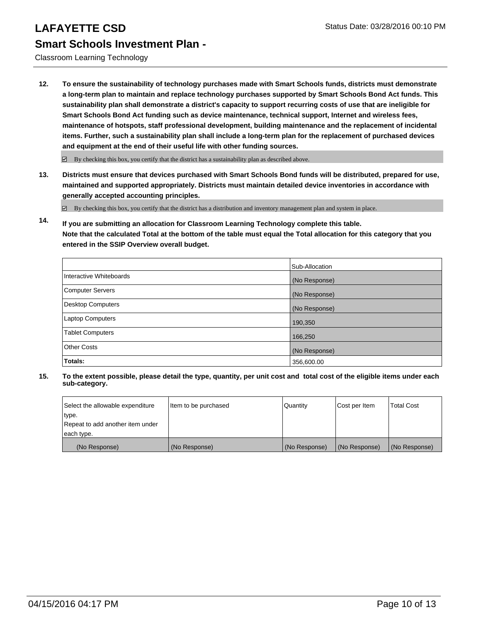Classroom Learning Technology

**12. To ensure the sustainability of technology purchases made with Smart Schools funds, districts must demonstrate a long-term plan to maintain and replace technology purchases supported by Smart Schools Bond Act funds. This sustainability plan shall demonstrate a district's capacity to support recurring costs of use that are ineligible for Smart Schools Bond Act funding such as device maintenance, technical support, Internet and wireless fees, maintenance of hotspots, staff professional development, building maintenance and the replacement of incidental items. Further, such a sustainability plan shall include a long-term plan for the replacement of purchased devices and equipment at the end of their useful life with other funding sources.**

 $\boxdot$  By checking this box, you certify that the district has a sustainability plan as described above.

**13. Districts must ensure that devices purchased with Smart Schools Bond funds will be distributed, prepared for use, maintained and supported appropriately. Districts must maintain detailed device inventories in accordance with generally accepted accounting principles.**

By checking this box, you certify that the district has a distribution and inventory management plan and system in place.

**14. If you are submitting an allocation for Classroom Learning Technology complete this table. Note that the calculated Total at the bottom of the table must equal the Total allocation for this category that you entered in the SSIP Overview overall budget.**

|                          | Sub-Allocation |
|--------------------------|----------------|
| Interactive Whiteboards  | (No Response)  |
| <b>Computer Servers</b>  | (No Response)  |
| <b>Desktop Computers</b> | (No Response)  |
| Laptop Computers         | 190,350        |
| <b>Tablet Computers</b>  | 166,250        |
| <b>Other Costs</b>       | (No Response)  |
| Totals:                  | 356,600.00     |

| Select the allowable expenditure | litem to be purchased | Quantity      | Cost per Item | <b>Total Cost</b> |
|----------------------------------|-----------------------|---------------|---------------|-------------------|
| type.                            |                       |               |               |                   |
| Repeat to add another item under |                       |               |               |                   |
| each type.                       |                       |               |               |                   |
| (No Response)                    | (No Response)         | (No Response) | (No Response) | (No Response)     |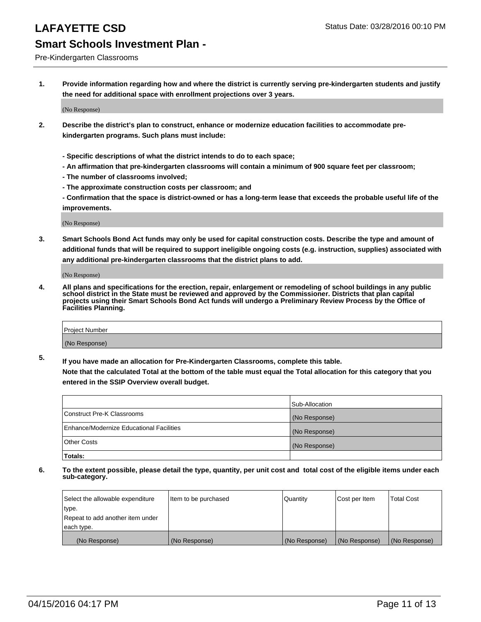#### Pre-Kindergarten Classrooms

**1. Provide information regarding how and where the district is currently serving pre-kindergarten students and justify the need for additional space with enrollment projections over 3 years.**

(No Response)

- **2. Describe the district's plan to construct, enhance or modernize education facilities to accommodate prekindergarten programs. Such plans must include:**
	- **Specific descriptions of what the district intends to do to each space;**
	- **An affirmation that pre-kindergarten classrooms will contain a minimum of 900 square feet per classroom;**
	- **The number of classrooms involved;**
	- **The approximate construction costs per classroom; and**
	- **Confirmation that the space is district-owned or has a long-term lease that exceeds the probable useful life of the improvements.**

(No Response)

**3. Smart Schools Bond Act funds may only be used for capital construction costs. Describe the type and amount of additional funds that will be required to support ineligible ongoing costs (e.g. instruction, supplies) associated with any additional pre-kindergarten classrooms that the district plans to add.**

(No Response)

**4. All plans and specifications for the erection, repair, enlargement or remodeling of school buildings in any public school district in the State must be reviewed and approved by the Commissioner. Districts that plan capital projects using their Smart Schools Bond Act funds will undergo a Preliminary Review Process by the Office of Facilities Planning.**

| Project Number |  |
|----------------|--|
| (No Response)  |  |

**5. If you have made an allocation for Pre-Kindergarten Classrooms, complete this table. Note that the calculated Total at the bottom of the table must equal the Total allocation for this category that you**

**entered in the SSIP Overview overall budget.**

|                                          | Sub-Allocation |
|------------------------------------------|----------------|
| Construct Pre-K Classrooms               | (No Response)  |
| Enhance/Modernize Educational Facilities | (No Response)  |
| Other Costs                              | (No Response)  |
| Totals:                                  |                |

| Select the allowable expenditure | Item to be purchased | Quantity      | Cost per Item | <b>Total Cost</b> |
|----------------------------------|----------------------|---------------|---------------|-------------------|
| type.                            |                      |               |               |                   |
| Repeat to add another item under |                      |               |               |                   |
| each type.                       |                      |               |               |                   |
| (No Response)                    | (No Response)        | (No Response) | (No Response) | (No Response)     |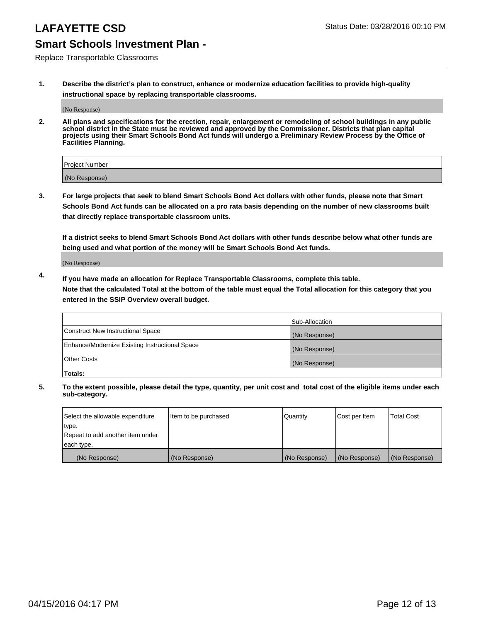Replace Transportable Classrooms

**1. Describe the district's plan to construct, enhance or modernize education facilities to provide high-quality instructional space by replacing transportable classrooms.**

(No Response)

**2. All plans and specifications for the erection, repair, enlargement or remodeling of school buildings in any public school district in the State must be reviewed and approved by the Commissioner. Districts that plan capital projects using their Smart Schools Bond Act funds will undergo a Preliminary Review Process by the Office of Facilities Planning.**

| Project Number |  |
|----------------|--|
| (No Response)  |  |

**3. For large projects that seek to blend Smart Schools Bond Act dollars with other funds, please note that Smart Schools Bond Act funds can be allocated on a pro rata basis depending on the number of new classrooms built that directly replace transportable classroom units.**

**If a district seeks to blend Smart Schools Bond Act dollars with other funds describe below what other funds are being used and what portion of the money will be Smart Schools Bond Act funds.**

(No Response)

**4. If you have made an allocation for Replace Transportable Classrooms, complete this table. Note that the calculated Total at the bottom of the table must equal the Total allocation for this category that you entered in the SSIP Overview overall budget.**

|                                                | Sub-Allocation |
|------------------------------------------------|----------------|
| Construct New Instructional Space              | (No Response)  |
| Enhance/Modernize Existing Instructional Space | (No Response)  |
| <b>Other Costs</b>                             | (No Response)  |
| Totals:                                        |                |

| Select the allowable expenditure | Item to be purchased | <b>Quantity</b> | Cost per Item | <b>Total Cost</b> |
|----------------------------------|----------------------|-----------------|---------------|-------------------|
| type.                            |                      |                 |               |                   |
| Repeat to add another item under |                      |                 |               |                   |
| each type.                       |                      |                 |               |                   |
| (No Response)                    | (No Response)        | (No Response)   | (No Response) | (No Response)     |